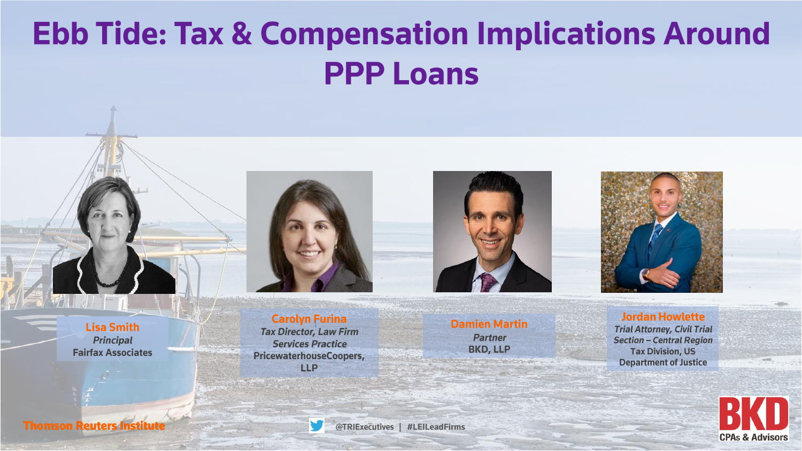# **Ebb Tide: Tax & Compensation Implications Around PPP Loans**

**Carolyn Furina Tax Director, Law Firm Services Practice** PricewaterhouseCoopers, **LLP** 



**Damien Martin** 

**Partner** 

**BKD, LLP** 



**Jordan Howlette Trial Attorney, Civil Trial Section - Central Region Tax Division, US Department of Justice** 



**Lisa Smith Principal Fairfax Associates** 

**Thomson Reuters Institute** 

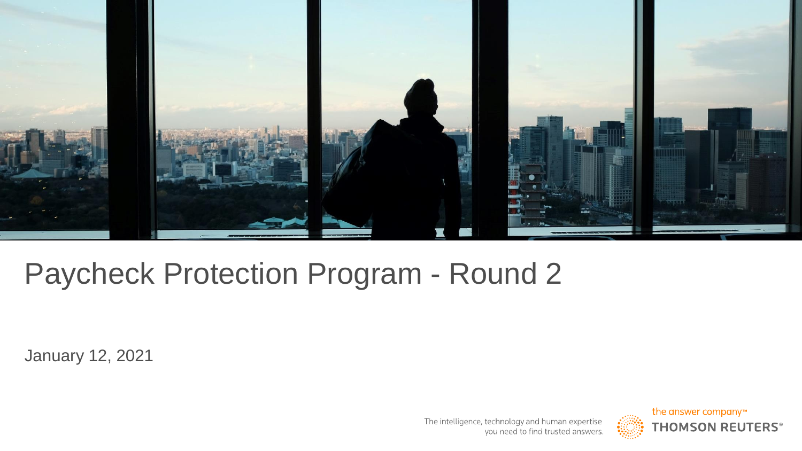

## Paycheck Protection Program - Round 2

January 12, 2021

The intelligence, technology and human expertise you need to find trusted answers.

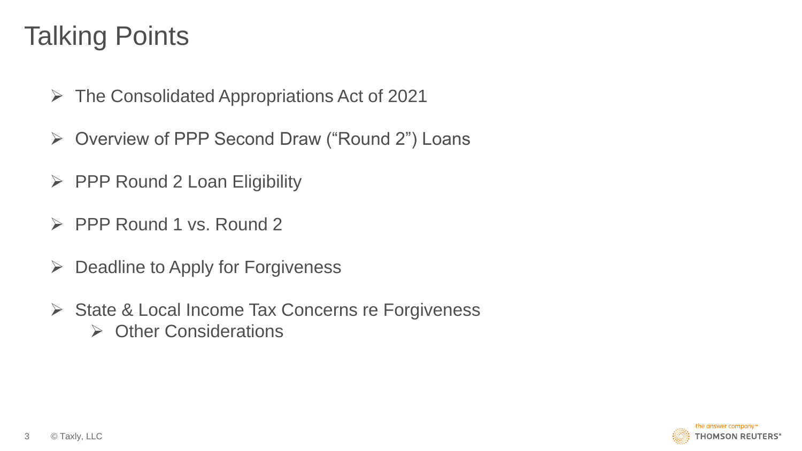#### Talking Points

- ➢ The Consolidated Appropriations Act of 2021
- ➢ Overview of PPP Second Draw ("Round 2") Loans
- $\triangleright$  PPP Round 2 Loan Eligibility
- ➢ PPP Round 1 vs. Round 2
- $\triangleright$  Deadline to Apply for Forgiveness
- ➢ State & Local Income Tax Concerns re Forgiveness ➢ Other Considerations

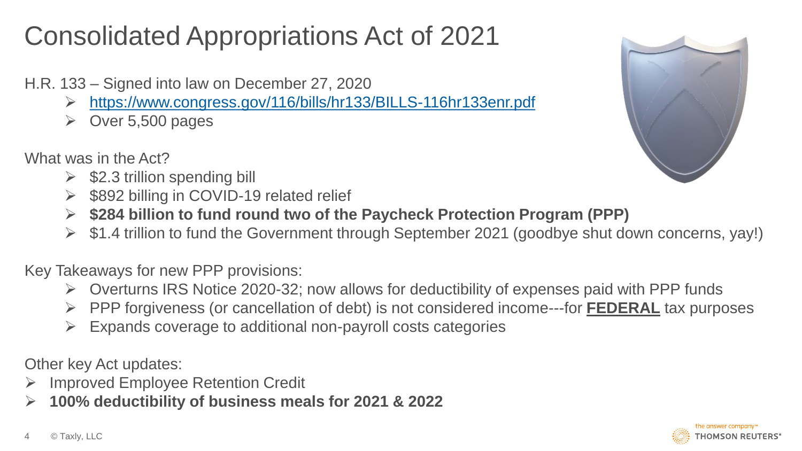### Consolidated Appropriations Act of 2021

- H.R. 133 Signed into law on December 27, 2020
	- ➢ <https://www.congress.gov/116/bills/hr133/BILLS-116hr133enr.pdf>
	- $\triangleright$  Over 5,500 pages
- What was in the Act?
	- $\triangleright$  \$2.3 trillion spending bill
	- ➢ \$892 billing in COVID-19 related relief
	- ➢ **\$284 billion to fund round two of the Paycheck Protection Program (PPP)**
	- ➢ \$1.4 trillion to fund the Government through September 2021 (goodbye shut down concerns, yay!)

Key Takeaways for new PPP provisions:

- ➢ Overturns IRS Notice 2020-32; now allows for deductibility of expenses paid with PPP funds
- ➢ PPP forgiveness (or cancellation of debt) is not considered income---for **FEDERAL** tax purposes
- $\triangleright$  Expands coverage to additional non-payroll costs categories

Other key Act updates:

- ➢ Improved Employee Retention Credit
- ➢ **100% deductibility of business meals for 2021 & 2022**



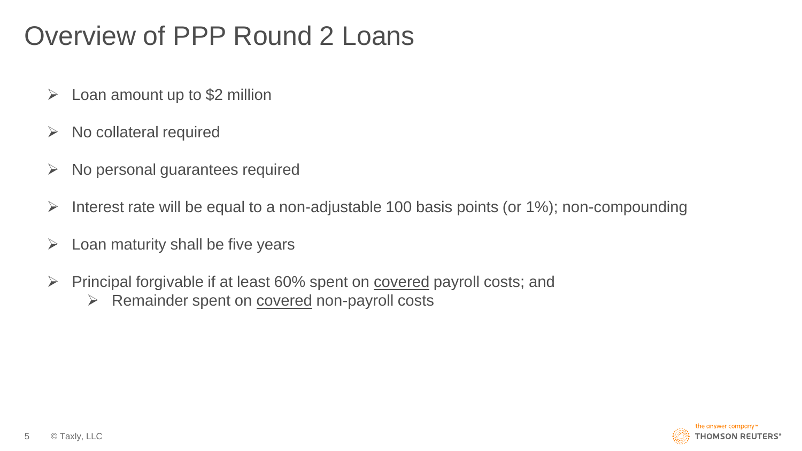#### Overview of PPP Round 2 Loans

- $\triangleright$  Loan amount up to \$2 million
- $\triangleright$  No collateral required
- $\triangleright$  No personal guarantees required
- $\triangleright$  Interest rate will be equal to a non-adjustable 100 basis points (or 1%); non-compounding
- $\triangleright$  Loan maturity shall be five years
- ➢ Principal forgivable if at least 60% spent on covered payroll costs; and
	- ➢ Remainder spent on covered non-payroll costs

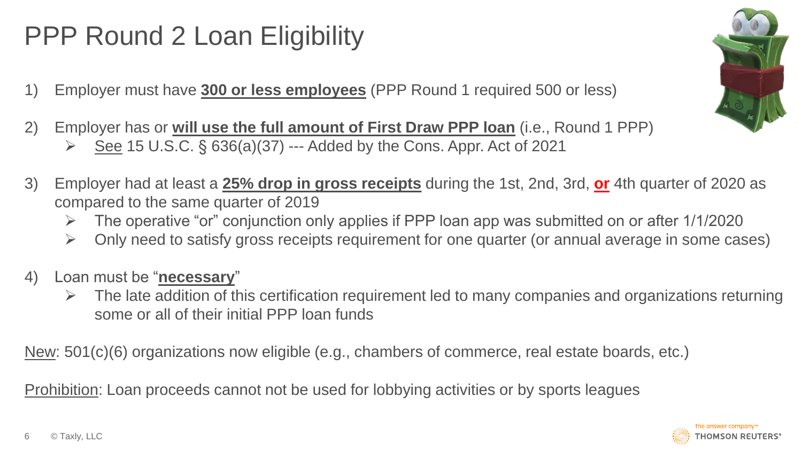### PPP Round 2 Loan Eligibility

- 1) Employer must have **300 or less employees** (PPP Round 1 required 500 or less)
- 2) Employer has or **will use the full amount of First Draw PPP loan** (i.e., Round 1 PPP)  $\triangleright$  See 15 U.S.C. § 636(a)(37) --- Added by the Cons. Appr. Act of 2021



- $\triangleright$  The operative "or" conjunction only applies if PPP loan app was submitted on or after 1/1/2020
- ➢ Only need to satisfy gross receipts requirement for one quarter (or annual average in some cases)
- 4) Loan must be "**necessary**"
	- $\triangleright$  The late addition of this certification requirement led to many companies and organizations returning some or all of their initial PPP loan funds

New: 501(c)(6) organizations now eligible (e.g., chambers of commerce, real estate boards, etc.)

Prohibition: Loan proceeds cannot not be used for lobbying activities or by sports leagues



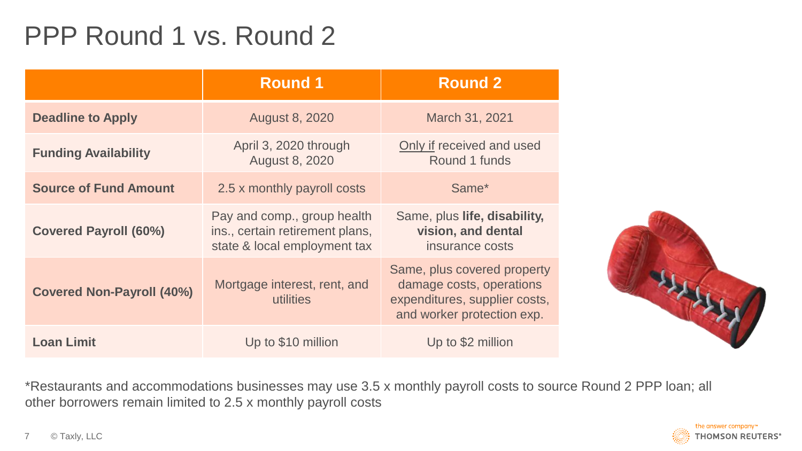#### PPP Round 1 vs. Round 2

|                                  | <b>Round 1</b>                                                                                 | <b>Round 2</b>                                                                                                         |
|----------------------------------|------------------------------------------------------------------------------------------------|------------------------------------------------------------------------------------------------------------------------|
| <b>Deadline to Apply</b>         | <b>August 8, 2020</b>                                                                          | March 31, 2021                                                                                                         |
| <b>Funding Availability</b>      | April 3, 2020 through<br><b>August 8, 2020</b>                                                 | Only if received and used<br>Round 1 funds                                                                             |
| <b>Source of Fund Amount</b>     | 2.5 x monthly payroll costs                                                                    | Same*                                                                                                                  |
| <b>Covered Payroll (60%)</b>     | Pay and comp., group health<br>ins., certain retirement plans,<br>state & local employment tax | Same, plus life, disability,<br>vision, and dental<br>insurance costs                                                  |
| <b>Covered Non-Payroll (40%)</b> | Mortgage interest, rent, and<br>utilities                                                      | Same, plus covered property<br>damage costs, operations<br>expenditures, supplier costs,<br>and worker protection exp. |
| <b>Loan Limit</b>                | Up to \$10 million                                                                             | Up to \$2 million                                                                                                      |



\*Restaurants and accommodations businesses may use 3.5 x monthly payroll costs to source Round 2 PPP loan; all other borrowers remain limited to 2.5 x monthly payroll costs

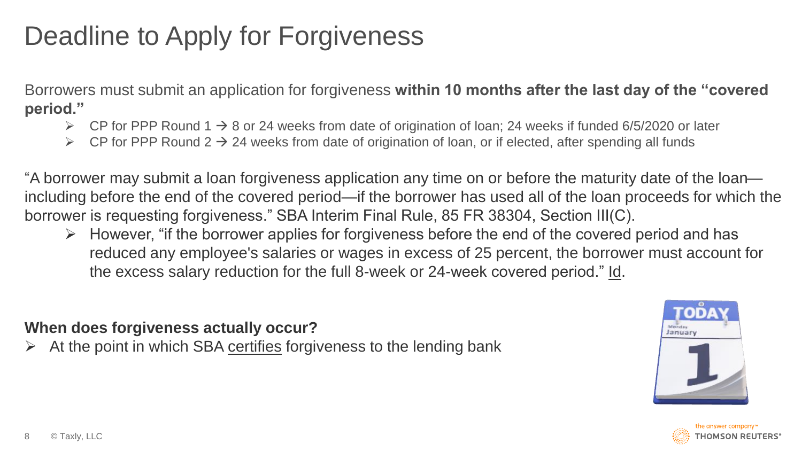#### Deadline to Apply for Forgiveness

Borrowers must submit an application for forgiveness **within 10 months after the last day of the "covered period."**

- ➢ CP for PPP Round 1 → 8 or 24 weeks from date of origination of loan; 24 weeks if funded 6/5/2020 or later
- CP for PPP Round  $2 \rightarrow 24$  weeks from date of origination of loan, or if elected, after spending all funds

"A borrower may submit a loan forgiveness application any time on or before the maturity date of the loan including before the end of the covered period—if the borrower has used all of the loan proceeds for which the borrower is requesting forgiveness." SBA Interim Final Rule, 85 FR 38304, Section III(C).

 $\triangleright$  However, "if the borrower applies for forgiveness before the end of the covered period and has reduced any employee's salaries or wages in excess of 25 percent, the borrower must account for the excess salary reduction for the full 8-week or 24-week covered period." Id.

**When does forgiveness actually occur?** 

At the point in which SBA certifies forgiveness to the lending bank



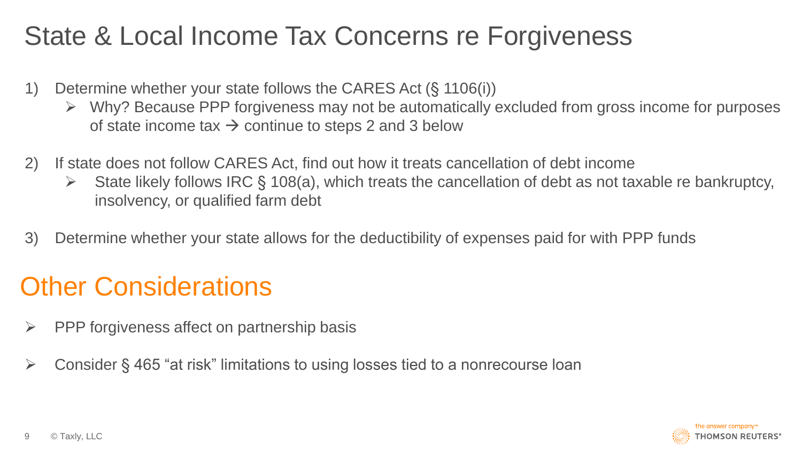#### State & Local Income Tax Concerns re Forgiveness

- 1) Determine whether your state follows the CARES Act (§ 1106(i))
	- $\triangleright$  Why? Because PPP forgiveness may not be automatically excluded from gross income for purposes of state income tax  $\rightarrow$  continue to steps 2 and 3 below
- 2) If state does not follow CARES Act, find out how it treats cancellation of debt income
	- $\triangleright$  State likely follows IRC § 108(a), which treats the cancellation of debt as not taxable re bankruptcy, insolvency, or qualified farm debt
- 3) Determine whether your state allows for the deductibility of expenses paid for with PPP funds

#### **Other Considerations**

- $\triangleright$  PPP forgiveness affect on partnership basis
- ➢ Consider § 465 "at risk" limitations to using losses tied to a nonrecourse loan

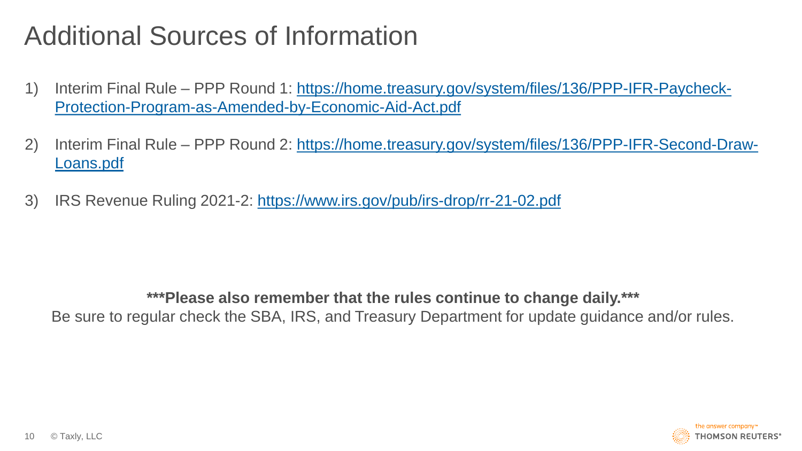#### Additional Sources of Information

- 1) Interim Final Rule [PPP Round 1: https://home.treasury.gov/system/files/136/PPP-IFR-Paycheck-](https://home.treasury.gov/system/files/136/PPP-IFR-Paycheck-Protection-Program-as-Amended-by-Economic-Aid-Act.pdf)Protection-Program-as-Amended-by-Economic-Aid-Act.pdf
- 2) Interim Final Rule [PPP Round 2: https://home.treasury.gov/system/files/136/PPP-IFR-Second-Draw-](https://home.treasury.gov/system/files/136/PPP-IFR-Second-Draw-Loans.pdf)Loans.pdf
- 3) IRS Revenue Ruling 2021-2:<https://www.irs.gov/pub/irs-drop/rr-21-02.pdf>

**\*\*\*Please also remember that the rules continue to change daily.\*\*\*** Be sure to regular check the SBA, IRS, and Treasury Department for update guidance and/or rules.